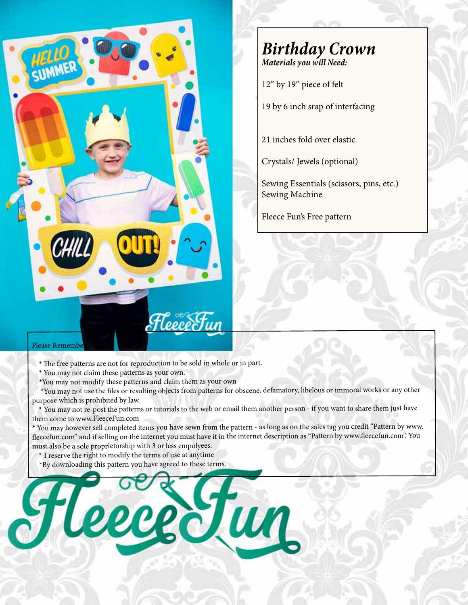

## **Birthday Crown**

**Materials you will Need:**

12" by 19" piece of felt

19 by 6 inch srap of interfacing

21 inches fold over elastic

Crystals/ Jewels (optional)

Sewing Essentials (scissors, pins, etc.) Sewing Machine

Fleece Fun's Free pattern

## Please Remembe

\* The free patterns are not for reproduction to be sold in whole or in part.

\* You may not claim these patterns as your own.

\*You may not modify these patterns and claim them as your own

 \*You may not use the files or resulting objects from patterns for obscene, defamatory, libelous or immoral works or any other purpose which is prohibited by law.

 \* You may not re-post the patterns or tutorials to the web or email them another person - if you want to share them just have them come to www.FleeceFun.com

\* You may however sell completed items you have sewn from the pattern - as long as on the sales tag you credit "Pattern by www. fleecefun.com" and if selling on the internet you must have it in the internet description as "Pattern by www.fleecefun.com". You must also be a sole proprietorship with 3 or less empolyees.

\* I reserve the right to modify the terms of use at anytime

\*By downloading this pattern you have agreed to these terms.

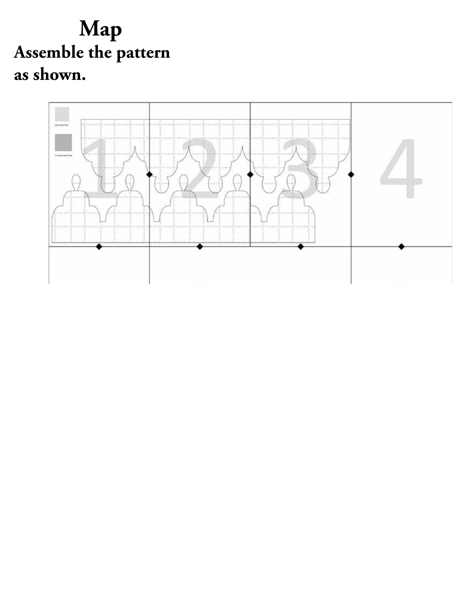**Map Assemble the pattern ssemble as shown.**

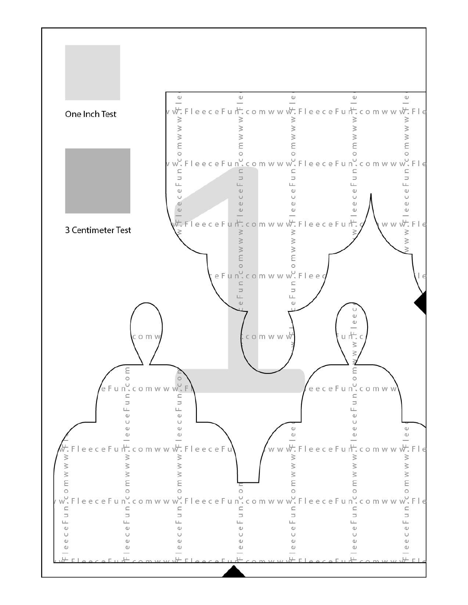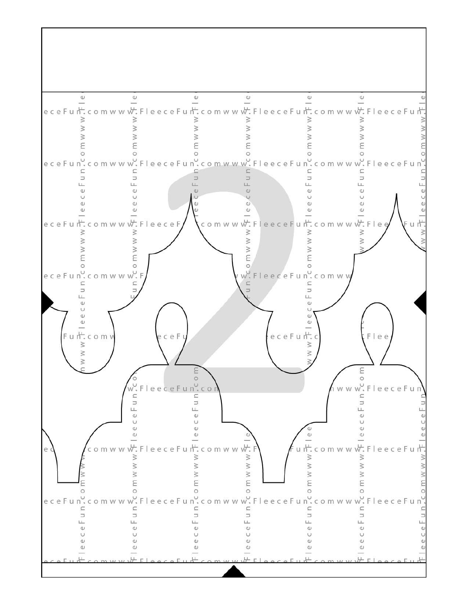